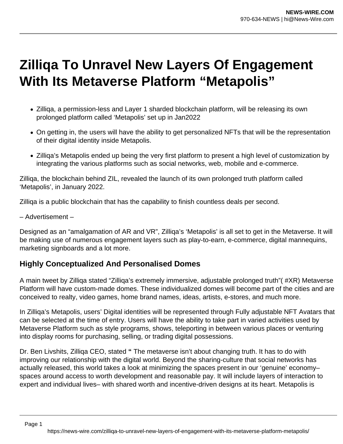## **Zilliqa To Unravel New Layers Of Engagement With Its Metaverse Platform "Metapolis"**

- Zilliga, a permission-less and Layer 1 sharded blockchain platform, will be releasing its own prolonged platform called 'Metapolis' set up in Jan2022
- On getting in, the users will have the ability to get personalized NFTs that will be the representation of their digital identity inside Metapolis.
- Zilliga's Metapolis ended up being the very first platform to present a high level of customization by integrating the various platforms such as social networks, web, mobile and e-commerce.

Zilliqa, the blockchain behind ZIL, revealed the launch of its own prolonged truth platform called 'Metapolis', in January 2022.

Zilliqa is a public blockchain that has the capability to finish countless deals per second.

– Advertisement –

Designed as an "amalgamation of AR and VR", Zilliqa's 'Metapolis' is all set to get in the Metaverse. It will be making use of numerous engagement layers such as play-to-earn, e-commerce, digital mannequins, marketing signboards and a lot more.

## **Highly Conceptualized And Personalised Domes**

A main tweet by Zilliqa stated "Zilliqa's extremely immersive, adjustable prolonged truth"( #XR) Metaverse Platform will have custom-made domes. These individualized domes will become part of the cities and are conceived to realty, video games, home brand names, ideas, artists, e-stores, and much more.

In Zilliqa's Metapolis, users' Digital identities will be represented through Fully adjustable NFT Avatars that can be selected at the time of entry. Users will have the ability to take part in varied activities used by Metaverse Platform such as style programs, shows, teleporting in between various places or venturing into display rooms for purchasing, selling, or trading digital possessions.

Dr. Ben Livshits, Zilliqa CEO, stated **"** The metaverse isn't about changing truth. It has to do with improving our relationship with the digital world. Beyond the sharing-culture that social networks has actually released, this world takes a look at minimizing the spaces present in our 'genuine' economy– spaces around access to worth development and reasonable pay. It will include layers of interaction to expert and individual lives– with shared worth and incentive-driven designs at its heart. Metapolis is